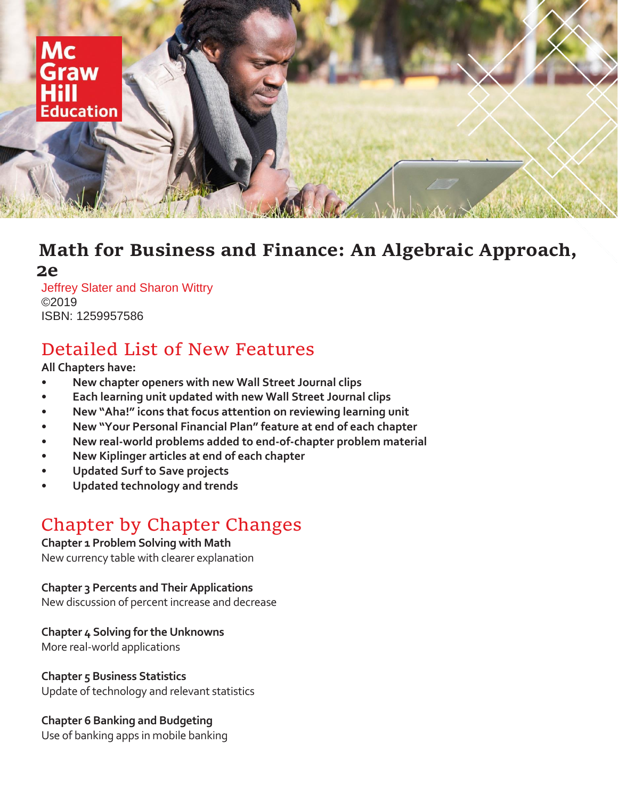

### **Math for Business and Finance: An Algebraic Approach, 2e**

Jeffrey Slater and Sharon Wittry ©2019 ISBN: 1259957586

## Detailed List of New Features

**All Chapters have:**

- **• New chapter openers with new Wall Street Journal clips**
- **• Each learning unit updated with new Wall Street Journal clips**
- **• New "Aha!" icons that focus attention on reviewing learning unit**
- **• New "Your Personal Financial Plan" feature at end of each chapter**
- **• New real-world problems added to end-of-chapter problem material**
- **• New Kiplinger articles at end of each chapter**
- **• Updated Surf to Save projects**
- **• Updated technology and trends**

# Chapter by Chapter Changes

#### **Chapter 1 Problem Solving with Math**

New currency table with clearer explanation

#### **Chapter 3 Percents and Their Applications**

New discussion of percent increase and decrease

#### **Chapter 4 Solving for the Unknowns**

More real-world applications

#### **Chapter 5 Business Statistics**

Update of technology and relevant statistics

#### **Chapter 6 Banking and Budgeting**

Use of banking apps in mobile banking